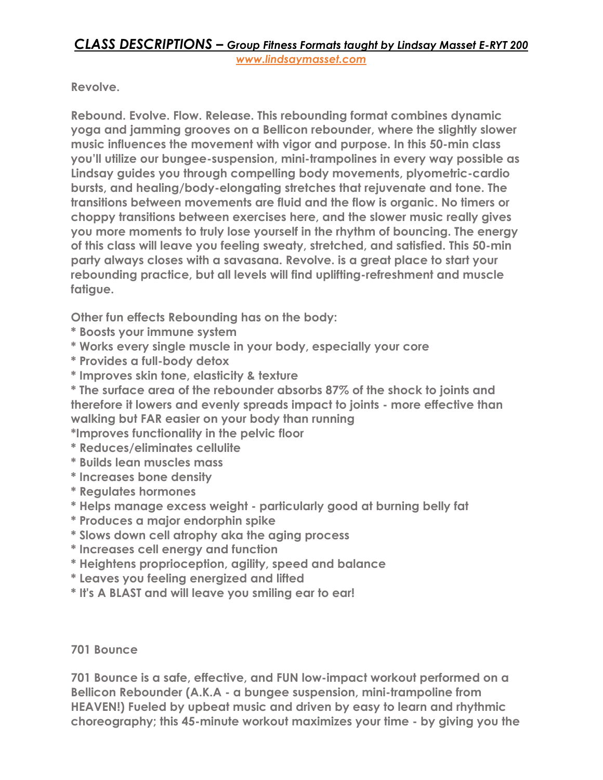# *CLASS DESCRIPTIONS – Group Fitness Formats taught by Lindsay Masset E-RYT 200 [www.lindsaymasset.com](http://www.lindsaymasset.com/)*

**Revolve.** 

**Rebound. Evolve. Flow. Release. This rebounding format combines dynamic yoga and jamming grooves on a Bellicon rebounder, where the slightly slower music influences the movement with vigor and purpose. In this 50-min class you'll utilize our bungee-suspension, mini-trampolines in every way possible as Lindsay guides you through compelling body movements, plyometric-cardio bursts, and healing/body-elongating stretches that rejuvenate and tone. The transitions between movements are fluid and the flow is organic. No timers or choppy transitions between exercises here, and the slower music really gives you more moments to truly lose yourself in the rhythm of bouncing. The energy of this class will leave you feeling sweaty, stretched, and satisfied. This 50-min party always closes with a savasana. Revolve. is a great place to start your rebounding practice, but all levels will find uplifting-refreshment and muscle fatigue.** 

**Other fun effects Rebounding has on the body:**

- **\* Boosts your immune system**
- **\* Works every single muscle in your body, especially your core**
- **\* Provides a full-body detox**
- **\* Improves skin tone, elasticity & texture**

**\* The surface area of the rebounder absorbs 87% of the shock to joints and therefore it lowers and evenly spreads impact to joints - more effective than walking but FAR easier on your body than running**

**\*Improves functionality in the pelvic floor**

- **\* Reduces/eliminates cellulite**
- **\* Builds lean muscles mass**
- **\* Increases bone density**
- **\* Regulates hormones**
- **\* Helps manage excess weight - particularly good at burning belly fat**
- **\* Produces a major endorphin spike**
- **\* Slows down cell atrophy aka the aging process**
- **\* Increases cell energy and function**
- **\* Heightens proprioception, agility, speed and balance**
- **\* Leaves you feeling energized and lifted**
- **\* It's A BLAST and will leave you smiling ear to ear!**

## **701 Bounce**

**701 Bounce is a safe, effective, and FUN low-impact workout performed on a Bellicon Rebounder (A.K.A - a bungee suspension, mini-trampoline from HEAVEN!) Fueled by upbeat music and driven by easy to learn and rhythmic choreography; this 45-minute workout maximizes your time - by giving you the**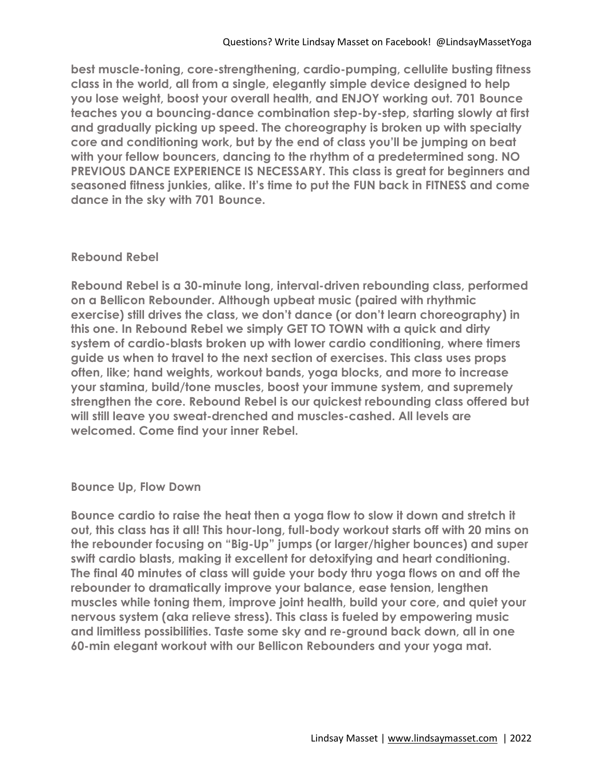**best muscle-toning, core-strengthening, cardio-pumping, cellulite busting fitness class in the world, all from a single, elegantly simple device designed to help you lose weight, boost your overall health, and ENJOY working out. 701 Bounce teaches you a bouncing-dance combination step-by-step, starting slowly at first and gradually picking up speed. The choreography is broken up with specialty core and conditioning work, but by the end of class you'll be jumping on beat with your fellow bouncers, dancing to the rhythm of a predetermined song. NO PREVIOUS DANCE EXPERIENCE IS NECESSARY. This class is great for beginners and seasoned fitness junkies, alike. It's time to put the FUN back in FITNESS and come dance in the sky with 701 Bounce.**

## **Rebound Rebel**

**Rebound Rebel is a 30-minute long, interval-driven rebounding class, performed on a Bellicon Rebounder. Although upbeat music (paired with rhythmic exercise) still drives the class, we don't dance (or don't learn choreography) in this one. In Rebound Rebel we simply GET TO TOWN with a quick and dirty system of cardio-blasts broken up with lower cardio conditioning, where timers guide us when to travel to the next section of exercises. This class uses props often, like; hand weights, workout bands, yoga blocks, and more to increase your stamina, build/tone muscles, boost your immune system, and supremely strengthen the core. Rebound Rebel is our quickest rebounding class offered but will still leave you sweat-drenched and muscles-cashed. All levels are welcomed. Come find your inner Rebel.**

## **Bounce Up, Flow Down**

**Bounce cardio to raise the heat then a yoga flow to slow it down and stretch it out, this class has it all! This hour-long, full-body workout starts off with 20 mins on the rebounder focusing on "Big-Up" jumps (or larger/higher bounces) and super swift cardio blasts, making it excellent for detoxifying and heart conditioning. The final 40 minutes of class will guide your body thru yoga flows on and off the rebounder to dramatically improve your balance, ease tension, lengthen muscles while toning them, improve joint health, build your core, and quiet your nervous system (aka relieve stress). This class is fueled by empowering music and limitless possibilities. Taste some sky and re-ground back down, all in one 60-min elegant workout with our Bellicon Rebounders and your yoga mat.**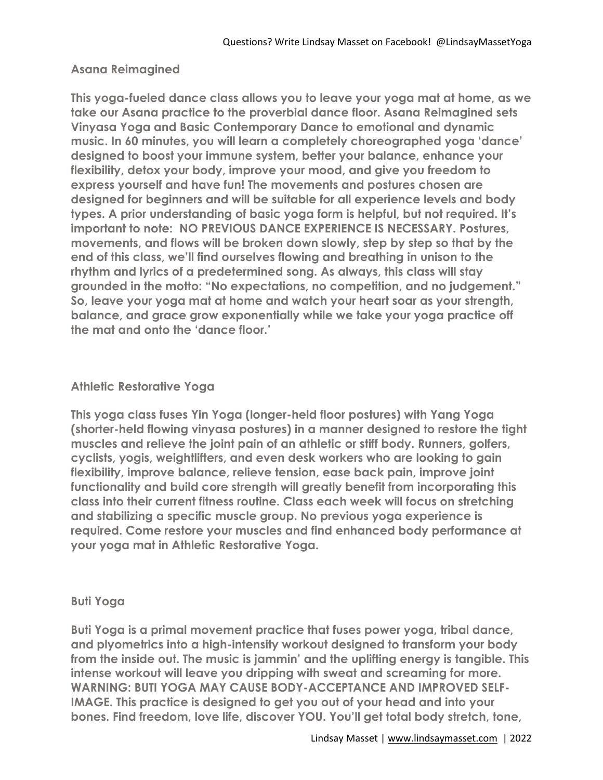## **Asana Reimagined**

**This yoga-fueled dance class allows you to leave your yoga mat at home, as we take our Asana practice to the proverbial dance floor. Asana Reimagined sets Vinyasa Yoga and Basic Contemporary Dance to emotional and dynamic music. In 60 minutes, you will learn a completely choreographed yoga 'dance' designed to boost your immune system, better your balance, enhance your flexibility, detox your body, improve your mood, and give you freedom to express yourself and have fun! The movements and postures chosen are designed for beginners and will be suitable for all experience levels and body types. A prior understanding of basic yoga form is helpful, but not required. It's important to note: NO PREVIOUS DANCE EXPERIENCE IS NECESSARY. Postures, movements, and flows will be broken down slowly, step by step so that by the end of this class, we'll find ourselves flowing and breathing in unison to the rhythm and lyrics of a predetermined song. As always, this class will stay grounded in the motto: "No expectations, no competition, and no judgement." So, leave your yoga mat at home and watch your heart soar as your strength, balance, and grace grow exponentially while we take your yoga practice off the mat and onto the 'dance floor.'**

#### **Athletic Restorative Yoga**

**This yoga class fuses Yin Yoga (longer-held floor postures) with Yang Yoga (shorter-held flowing vinyasa postures) in a manner designed to restore the tight muscles and relieve the joint pain of an athletic or stiff body. Runners, golfers, cyclists, yogis, weightlifters, and even desk workers who are looking to gain flexibility, improve balance, relieve tension, ease back pain, improve joint functionality and build core strength will greatly benefit from incorporating this class into their current fitness routine. Class each week will focus on stretching and stabilizing a specific muscle group. No previous yoga experience is required. Come restore your muscles and find enhanced body performance at your yoga mat in Athletic Restorative Yoga.**

#### **Buti Yoga**

**Buti Yoga is a primal movement practice that fuses power yoga, tribal dance, and plyometrics into a high-intensity workout designed to transform your body from the inside out. The music is jammin' and the uplifting energy is tangible. This intense workout will leave you dripping with sweat and screaming for more. WARNING: BUTI YOGA MAY CAUSE BODY-ACCEPTANCE AND IMPROVED SELF-IMAGE. This practice is designed to get you out of your head and into your bones. Find freedom, love life, discover YOU. You'll get total body stretch, tone,**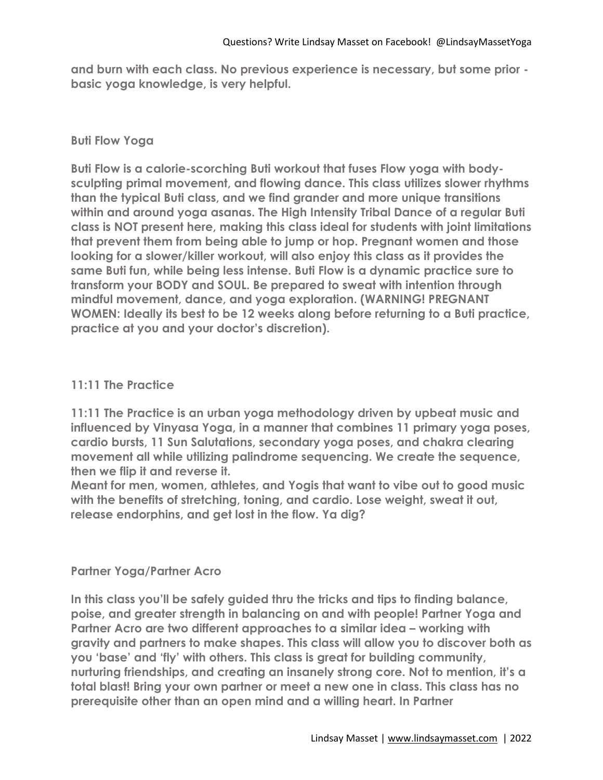**and burn with each class. No previous experience is necessary, but some prior basic yoga knowledge, is very helpful.**

# **Buti Flow Yoga**

**Buti Flow is a calorie-scorching Buti workout that fuses Flow yoga with bodysculpting primal movement, and flowing dance. This class utilizes slower rhythms than the typical Buti class, and we find grander and more unique transitions within and around yoga asanas. The High Intensity Tribal Dance of a regular Buti class is NOT present here, making this class ideal for students with joint limitations that prevent them from being able to jump or hop. Pregnant women and those looking for a slower/killer workout, will also enjoy this class as it provides the same Buti fun, while being less intense. Buti Flow is a dynamic practice sure to transform your BODY and SOUL. Be prepared to sweat with intention through mindful movement, dance, and yoga exploration. (WARNING! PREGNANT WOMEN: Ideally its best to be 12 weeks along before returning to a Buti practice, practice at you and your doctor's discretion).**

# **11:11 The Practice**

**11:11 The Practice is an urban yoga methodology driven by upbeat music and influenced by Vinyasa Yoga, in a manner that combines 11 primary yoga poses, cardio bursts, 11 Sun Salutations, secondary yoga poses, and chakra clearing movement all while utilizing palindrome sequencing. We create the sequence, then we flip it and reverse it.** 

**Meant for men, women, athletes, and Yogis that want to vibe out to good music with the benefits of stretching, toning, and cardio. Lose weight, sweat it out, release endorphins, and get lost in the flow. Ya dig?**

## **Partner Yoga/Partner Acro**

**In this class you'll be safely guided thru the tricks and tips to finding balance, poise, and greater strength in balancing on and with people! Partner Yoga and**  Partner Acro are two different approaches to a similar idea – working with **gravity and partners to make shapes. This class will allow you to discover both as you 'base' and 'fly' with others. This class is great for building community, nurturing friendships, and creating an insanely strong core. Not to mention, it's a total blast! Bring your own partner or meet a new one in class. This class has no prerequisite other than an open mind and a willing heart. In Partner**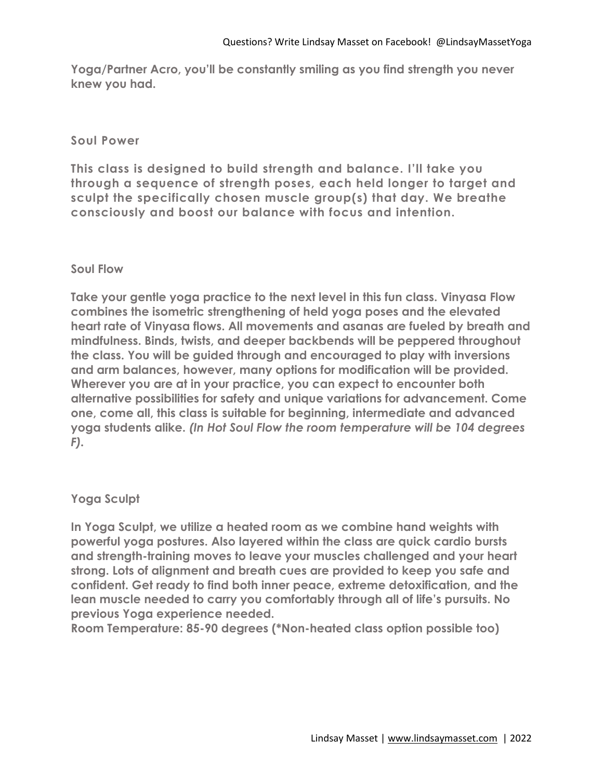**Yoga/Partner Acro, you'll be constantly smiling as you find strength you never knew you had.** 

#### **Soul Power**

**This class is designed to build strength and balance. I'll take you through a sequence of strength poses, each held longer to target and sculpt the specifically chosen muscle group(s) that day. We breathe consciously and boost our balance with focus and intention.**

## **Soul Flow**

**Take your gentle yoga practice to the next level in this fun class. Vinyasa Flow combines the isometric strengthening of held yoga poses and the elevated heart rate of Vinyasa flows. All movements and asanas are fueled by breath and mindfulness. Binds, twists, and deeper backbends will be peppered throughout the class. You will be guided through and encouraged to play with inversions and arm balances, however, many options for modification will be provided. Wherever you are at in your practice, you can expect to encounter both alternative possibilities for safety and unique variations for advancement. Come one, come all, this class is suitable for beginning, intermediate and advanced yoga students alike.** *(In Hot Soul Flow the room temperature will be 104 degrees F).*

## **Yoga Sculpt**

**In Yoga Sculpt, we utilize a heated room as we combine hand weights with powerful yoga postures. Also layered within the class are quick cardio bursts and strength-training moves to leave your muscles challenged and your heart strong. Lots of alignment and breath cues are provided to keep you safe and confident. Get ready to find both inner peace, extreme detoxification, and the lean muscle needed to carry you comfortably through all of life's pursuits. No previous Yoga experience needed.** 

**Room Temperature: 85-90 degrees (\*Non-heated class option possible too)**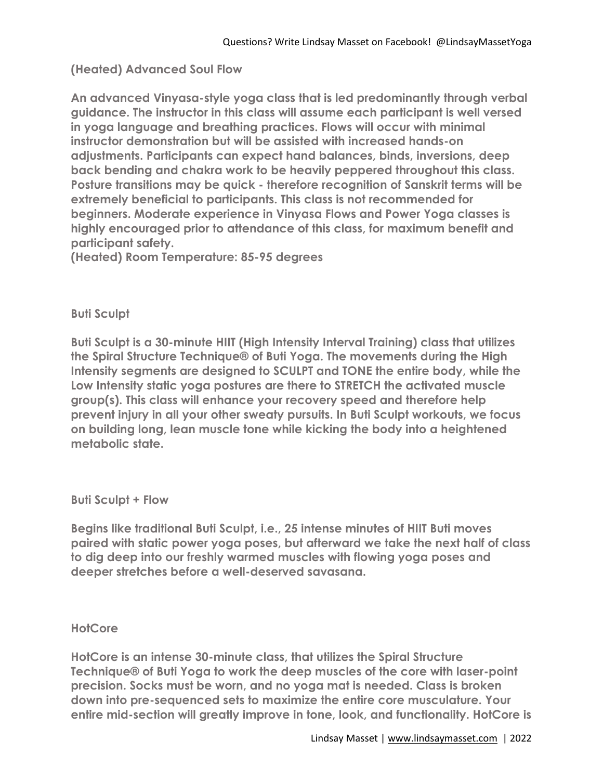# **(Heated) Advanced Soul Flow**

**An advanced Vinyasa-style yoga class that is led predominantly through verbal guidance. The instructor in this class will assume each participant is well versed in yoga language and breathing practices. Flows will occur with minimal instructor demonstration but will be assisted with increased hands-on adjustments. Participants can expect hand balances, binds, inversions, deep back bending and chakra work to be heavily peppered throughout this class. Posture transitions may be quick - therefore recognition of Sanskrit terms will be extremely beneficial to participants. This class is not recommended for beginners. Moderate experience in Vinyasa Flows and Power Yoga classes is highly encouraged prior to attendance of this class, for maximum benefit and participant safety.** 

**(Heated) Room Temperature: 85-95 degrees**

## **Buti Sculpt**

**Buti Sculpt is a 30-minute HIIT (High Intensity Interval Training) class that utilizes the Spiral Structure Technique® of Buti Yoga. The movements during the High Intensity segments are designed to SCULPT and TONE the entire body, while the Low Intensity static yoga postures are there to STRETCH the activated muscle group(s). This class will enhance your recovery speed and therefore help prevent injury in all your other sweaty pursuits. In Buti Sculpt workouts, we focus on building long, lean muscle tone while kicking the body into a heightened metabolic state.**

#### **Buti Sculpt + Flow**

**Begins like traditional Buti Sculpt, i.e., 25 intense minutes of HIIT Buti moves paired with static power yoga poses, but afterward we take the next half of class to dig deep into our freshly warmed muscles with flowing yoga poses and deeper stretches before a well-deserved savasana.**

#### **HotCore**

**HotCore is an intense 30-minute class, that utilizes the Spiral Structure Technique® of Buti Yoga to work the deep muscles of the core with laser-point precision. Socks must be worn, and no yoga mat is needed. Class is broken down into pre-sequenced sets to maximize the entire core musculature. Your entire mid-section will greatly improve in tone, look, and functionality. HotCore is**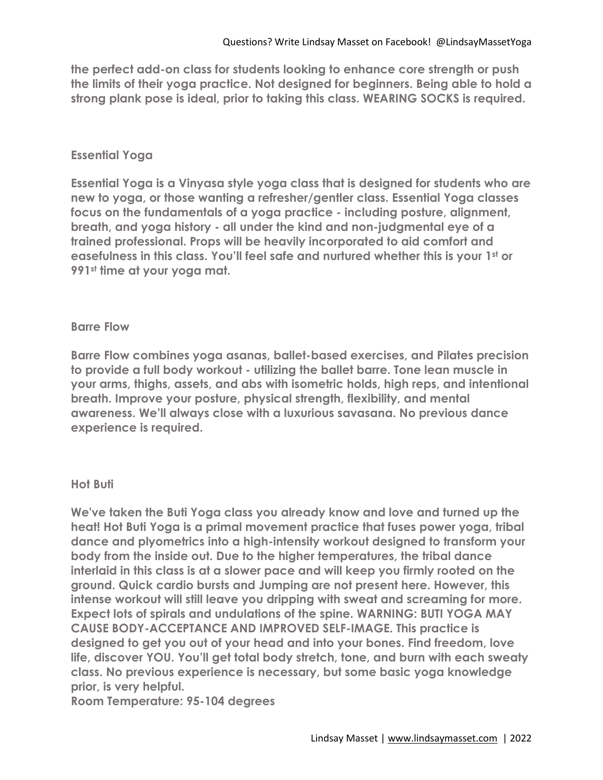**the perfect add-on class for students looking to enhance core strength or push the limits of their yoga practice. Not designed for beginners. Being able to hold a strong plank pose is ideal, prior to taking this class. WEARING SOCKS is required.**

## **Essential Yoga**

**Essential Yoga is a Vinyasa style yoga class that is designed for students who are new to yoga, or those wanting a refresher/gentler class. Essential Yoga classes focus on the fundamentals of a yoga practice - including posture, alignment, breath, and yoga history - all under the kind and non-judgmental eye of a trained professional. Props will be heavily incorporated to aid comfort and easefulness in this class. You'll feel safe and nurtured whether this is your 1st or 991st time at your yoga mat.** 

## **Barre Flow**

**Barre Flow combines yoga asanas, ballet-based exercises, and Pilates precision to provide a full body workout - utilizing the ballet barre. Tone lean muscle in your arms, thighs, assets, and abs with isometric holds, high reps, and intentional breath. Improve your posture, physical strength, flexibility, and mental awareness. We'll always close with a luxurious savasana. No previous dance experience is required.**

#### **Hot Buti**

**We've taken the Buti Yoga class you already know and love and turned up the heat! Hot Buti Yoga is a primal movement practice that fuses power yoga, tribal dance and plyometrics into a high-intensity workout designed to transform your body from the inside out. Due to the higher temperatures, the tribal dance interlaid in this class is at a slower pace and will keep you firmly rooted on the ground. Quick cardio bursts and Jumping are not present here. However, this intense workout will still leave you dripping with sweat and screaming for more. Expect lots of spirals and undulations of the spine. WARNING: BUTI YOGA MAY CAUSE BODY-ACCEPTANCE AND IMPROVED SELF-IMAGE. This practice is designed to get you out of your head and into your bones. Find freedom, love life, discover YOU. You'll get total body stretch, tone, and burn with each sweaty class. No previous experience is necessary, but some basic yoga knowledge prior, is very helpful.** 

**Room Temperature: 95-104 degrees**